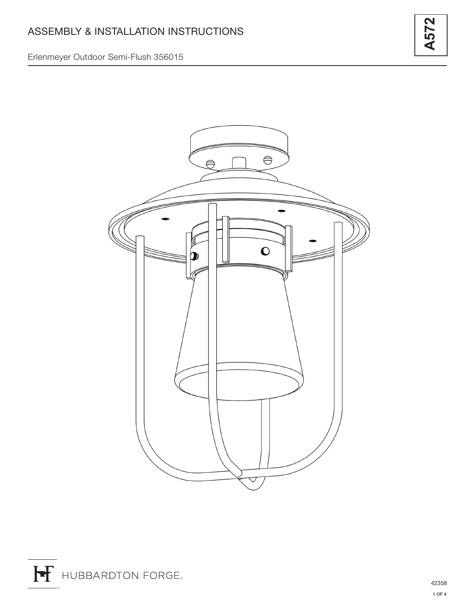## Erlenmeyer Outdoor Semi-Flush 356015



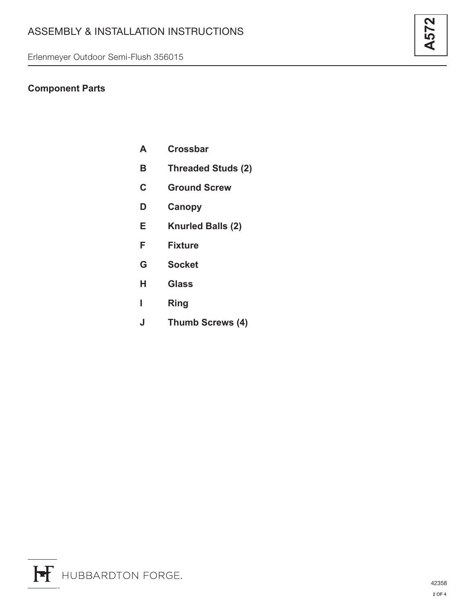## **Component Parts**

- **A Crossbar**
- **B Threaded Studs (2)**
- **C Ground Screw**
- **D Canopy**
- **E Knurled Balls (2)**
- **F Fixture**
- **G Socket**
- **H Glass**
- **I Ring**
- **J Thumb Screws (4)**

**A572**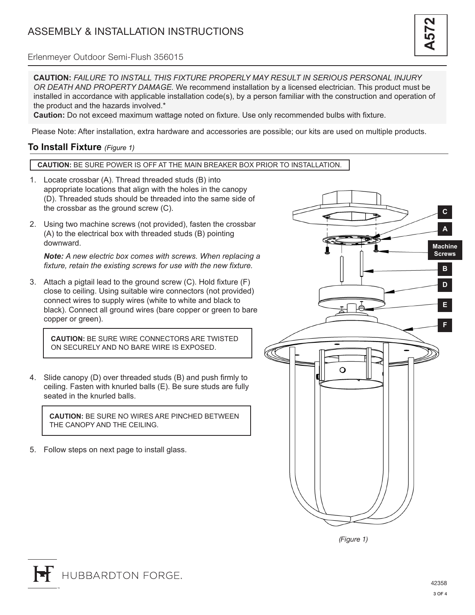

### Erlenmeyer Outdoor Semi-Flush 356015

**CAUTION:** *FAILURE TO INSTALL THIS FIXTURE PROPERLY MAY RESULT IN SERIOUS PERSONAL INJURY OR DEATH AND PROPERTY DAMAGE.* We recommend installation by a licensed electrician. This product must be installed in accordance with applicable installation code(s), by a person familiar with the construction and operation of the product and the hazards involved.\*

**Caution:** Do not exceed maximum wattage noted on fixture. Use only recommended bulbs with fixture.

Please Note: After installation, extra hardware and accessories are possible; our kits are used on multiple products.

## **To Install Fixture** *(Figure 1)*

#### **CAUTION:** BE SURE POWER IS OFF AT THE MAIN BREAKER BOX PRIOR TO INSTALLATION.

- 1. Locate crossbar (A). Thread threaded studs (B) into appropriate locations that align with the holes in the canopy (D). Threaded studs should be threaded into the same side of the crossbar as the ground screw (C).
- 2. Using two machine screws (not provided), fasten the crossbar (A) to the electrical box with threaded studs (B) pointing downward.

*Note: A new electric box comes with screws. When replacing a fixture, retain the existing screws for use with the new fixture.*

3. Attach a pigtail lead to the ground screw (C). Hold fixture (F) close to ceiling. Using suitable wire connectors (not provided) connect wires to supply wires (white to white and black to black). Connect all ground wires (bare copper or green to bare copper or green).

**CAUTION:** BE SURE WIRE CONNECTORS ARE TWISTED ON SECURELY AND NO BARE WIRE IS EXPOSED.

4. Slide canopy (D) over threaded studs (B) and push firmly to ceiling. Fasten with knurled balls (E). Be sure studs are fully seated in the knurled balls.

**CAUTION:** BE SURE NO WIRES ARE PINCHED BETWEEN THE CANOPY AND THE CEILING.

5. Follow steps on next page to install glass.



*(Figure 1)*